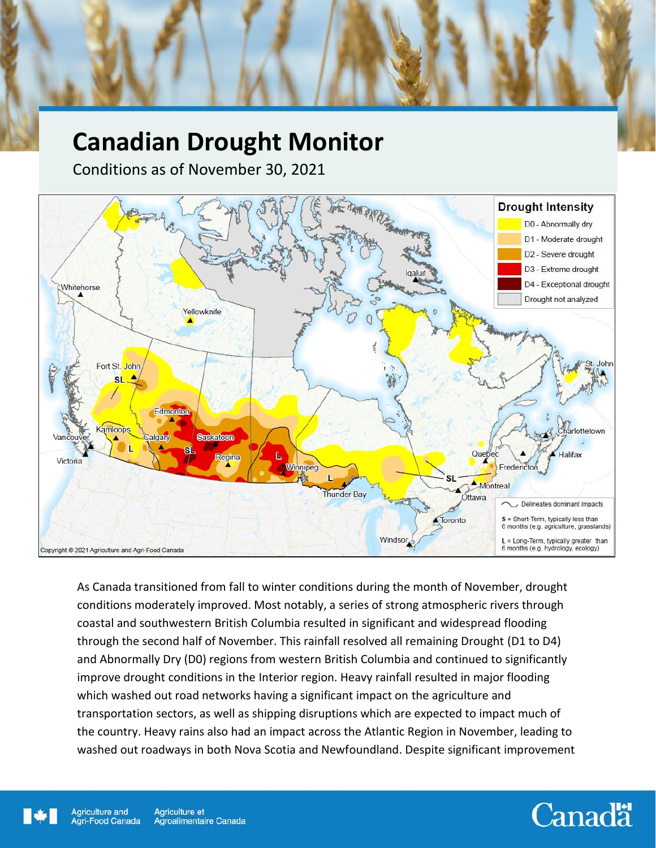# **Canadian Drought Monitor**

Conditions as of November 30, 2021



As Canada transitioned from fall to winter conditions during the month of November, drought conditions moderately improved. Most notably, a series of strong atmospheric rivers through coastal and southwestern British Columbia resulted in significant and widespread flooding through the second half of November. This rainfall resolved all remaining Drought (D1 to D4) and Abnormally Dry (D0) regions from western British Columbia and continued to significantly improve drought conditions in the Interior region. Heavy rainfall resulted in major flooding which washed out road networks having a significant impact on the agriculture and transportation sectors, as well as shipping disruptions which are expected to impact much of the country. Heavy rains also had an impact across the Atlantic Region in November, leading to washed out roadways in both Nova Scotia and Newfoundland. Despite significant improvement

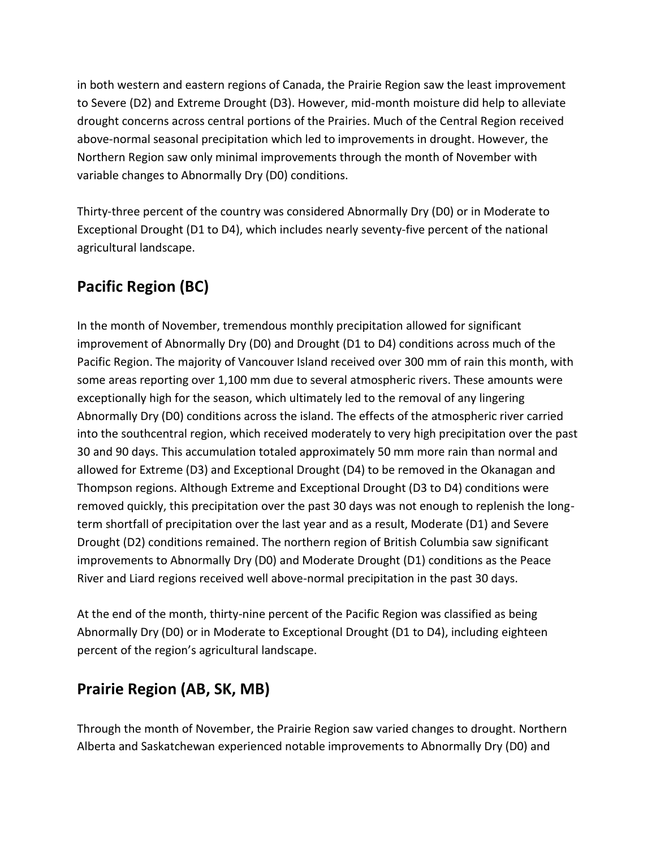in both western and eastern regions of Canada, the Prairie Region saw the least improvement to Severe (D2) and Extreme Drought (D3). However, mid-month moisture did help to alleviate drought concerns across central portions of the Prairies. Much of the Central Region received above-normal seasonal precipitation which led to improvements in drought. However, the Northern Region saw only minimal improvements through the month of November with variable changes to Abnormally Dry (D0) conditions.

Thirty-three percent of the country was considered Abnormally Dry (D0) or in Moderate to Exceptional Drought (D1 to D4), which includes nearly seventy-five percent of the national agricultural landscape.

## **Pacific Region (BC)**

In the month of November, tremendous monthly precipitation allowed for significant improvement of Abnormally Dry (D0) and Drought (D1 to D4) conditions across much of the Pacific Region. The majority of Vancouver Island received over 300 mm of rain this month, with some areas reporting over 1,100 mm due to several atmospheric rivers. These amounts were exceptionally high for the season, which ultimately led to the removal of any lingering Abnormally Dry (D0) conditions across the island. The effects of the atmospheric river carried into the southcentral region, which received moderately to very high precipitation over the past 30 and 90 days. This accumulation totaled approximately 50 mm more rain than normal and allowed for Extreme (D3) and Exceptional Drought (D4) to be removed in the Okanagan and Thompson regions. Although Extreme and Exceptional Drought (D3 to D4) conditions were removed quickly, this precipitation over the past 30 days was not enough to replenish the longterm shortfall of precipitation over the last year and as a result, Moderate (D1) and Severe Drought (D2) conditions remained. The northern region of British Columbia saw significant improvements to Abnormally Dry (D0) and Moderate Drought (D1) conditions as the Peace River and Liard regions received well above-normal precipitation in the past 30 days.

At the end of the month, thirty-nine percent of the Pacific Region was classified as being Abnormally Dry (D0) or in Moderate to Exceptional Drought (D1 to D4), including eighteen percent of the region's agricultural landscape.

#### **Prairie Region (AB, SK, MB)**

Through the month of November, the Prairie Region saw varied changes to drought. Northern Alberta and Saskatchewan experienced notable improvements to Abnormally Dry (D0) and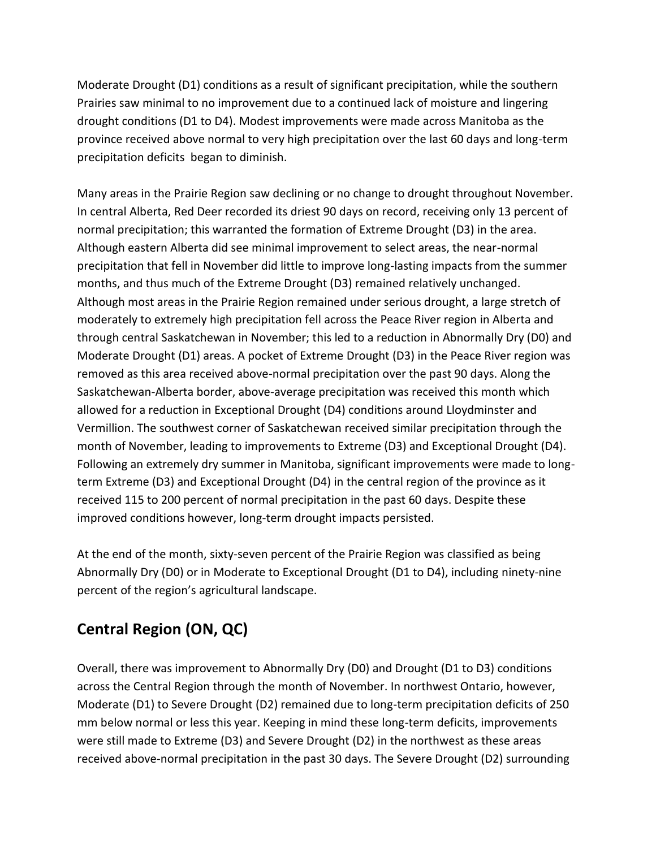Moderate Drought (D1) conditions as a result of significant precipitation, while the southern Prairies saw minimal to no improvement due to a continued lack of moisture and lingering drought conditions (D1 to D4). Modest improvements were made across Manitoba as the province received above normal to very high precipitation over the last 60 days and long-term precipitation deficits began to diminish.

Many areas in the Prairie Region saw declining or no change to drought throughout November. In central Alberta, Red Deer recorded its driest 90 days on record, receiving only 13 percent of normal precipitation; this warranted the formation of Extreme Drought (D3) in the area. Although eastern Alberta did see minimal improvement to select areas, the near-normal precipitation that fell in November did little to improve long-lasting impacts from the summer months, and thus much of the Extreme Drought (D3) remained relatively unchanged. Although most areas in the Prairie Region remained under serious drought, a large stretch of moderately to extremely high precipitation fell across the Peace River region in Alberta and through central Saskatchewan in November; this led to a reduction in Abnormally Dry (D0) and Moderate Drought (D1) areas. A pocket of Extreme Drought (D3) in the Peace River region was removed as this area received above-normal precipitation over the past 90 days. Along the Saskatchewan-Alberta border, above-average precipitation was received this month which allowed for a reduction in Exceptional Drought (D4) conditions around Lloydminster and Vermillion. The southwest corner of Saskatchewan received similar precipitation through the month of November, leading to improvements to Extreme (D3) and Exceptional Drought (D4). Following an extremely dry summer in Manitoba, significant improvements were made to longterm Extreme (D3) and Exceptional Drought (D4) in the central region of the province as it received 115 to 200 percent of normal precipitation in the past 60 days. Despite these improved conditions however, long-term drought impacts persisted.

At the end of the month, sixty-seven percent of the Prairie Region was classified as being Abnormally Dry (D0) or in Moderate to Exceptional Drought (D1 to D4), including ninety-nine percent of the region's agricultural landscape.

### **Central Region (ON, QC)**

Overall, there was improvement to Abnormally Dry (D0) and Drought (D1 to D3) conditions across the Central Region through the month of November. In northwest Ontario, however, Moderate (D1) to Severe Drought (D2) remained due to long-term precipitation deficits of 250 mm below normal or less this year. Keeping in mind these long-term deficits, improvements were still made to Extreme (D3) and Severe Drought (D2) in the northwest as these areas received above-normal precipitation in the past 30 days. The Severe Drought (D2) surrounding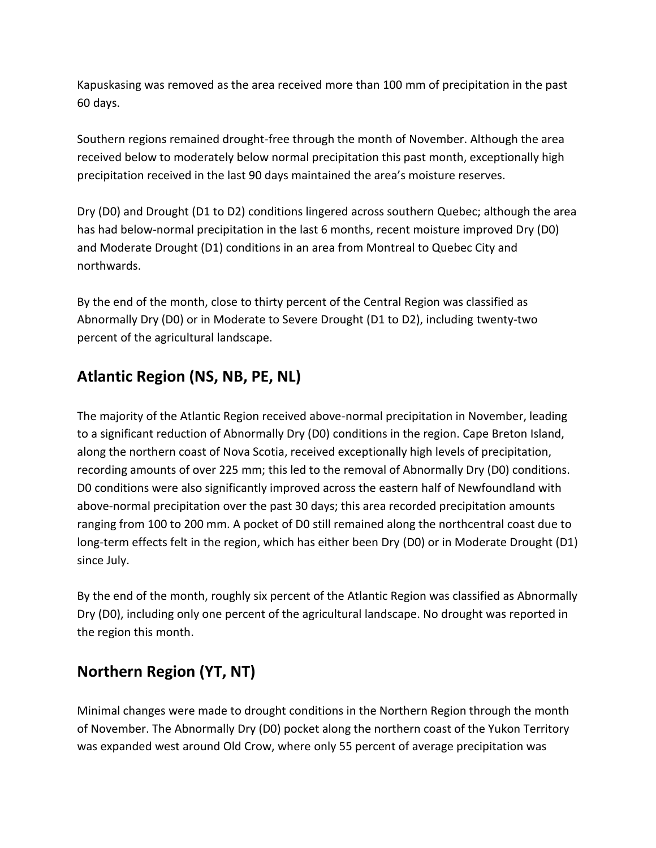Kapuskasing was removed as the area received more than 100 mm of precipitation in the past 60 days.

Southern regions remained drought-free through the month of November. Although the area received below to moderately below normal precipitation this past month, exceptionally high precipitation received in the last 90 days maintained the area's moisture reserves.

Dry (D0) and Drought (D1 to D2) conditions lingered across southern Quebec; although the area has had below-normal precipitation in the last 6 months, recent moisture improved Dry (D0) and Moderate Drought (D1) conditions in an area from Montreal to Quebec City and northwards.

By the end of the month, close to thirty percent of the Central Region was classified as Abnormally Dry (D0) or in Moderate to Severe Drought (D1 to D2), including twenty-two percent of the agricultural landscape.

### **Atlantic Region (NS, NB, PE, NL)**

The majority of the Atlantic Region received above-normal precipitation in November, leading to a significant reduction of Abnormally Dry (D0) conditions in the region. Cape Breton Island, along the northern coast of Nova Scotia, received exceptionally high levels of precipitation, recording amounts of over 225 mm; this led to the removal of Abnormally Dry (D0) conditions. D0 conditions were also significantly improved across the eastern half of Newfoundland with above-normal precipitation over the past 30 days; this area recorded precipitation amounts ranging from 100 to 200 mm. A pocket of D0 still remained along the northcentral coast due to long-term effects felt in the region, which has either been Dry (D0) or in Moderate Drought (D1) since July.

By the end of the month, roughly six percent of the Atlantic Region was classified as Abnormally Dry (D0), including only one percent of the agricultural landscape. No drought was reported in the region this month.

### **Northern Region (YT, NT)**

Minimal changes were made to drought conditions in the Northern Region through the month of November. The Abnormally Dry (D0) pocket along the northern coast of the Yukon Territory was expanded west around Old Crow, where only 55 percent of average precipitation was